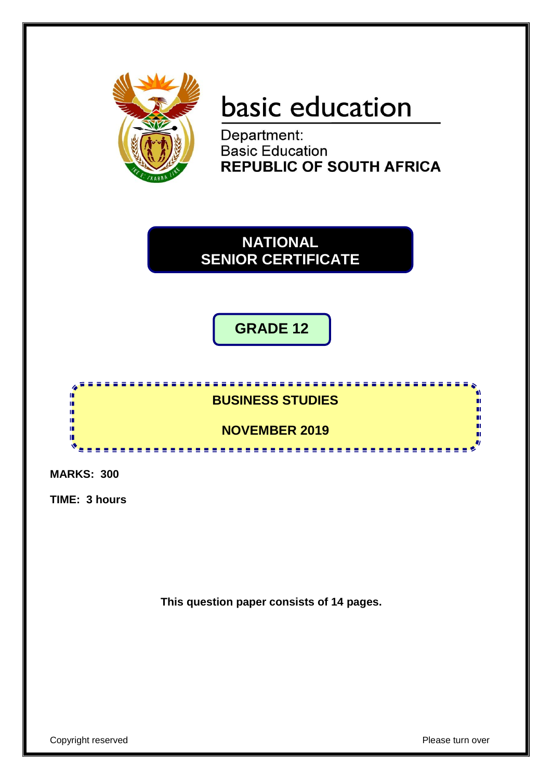

# basic education

Department: **Basic Education REPUBLIC OF SOUTH AFRICA** 

**NATIONAL SENIOR CERTIFICATE**

**GRADE 12**



**MARKS: 300**

**TIME: 3 hours**

**This question paper consists of 14 pages.**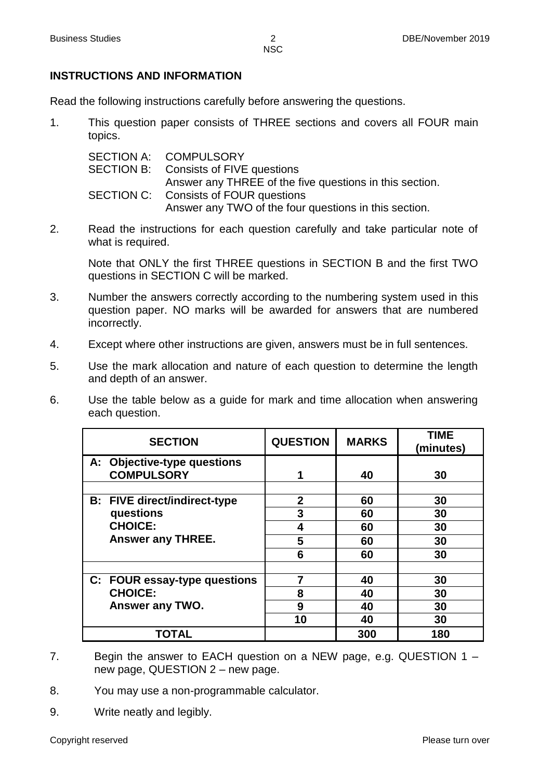# **INSTRUCTIONS AND INFORMATION**

Read the following instructions carefully before answering the questions.

1. This question paper consists of THREE sections and covers all FOUR main topics.

SECTION A: SECTION B: SECTION C: **COMPULSORY** Consists of FIVE questions Answer any THREE of the five questions in this section. Consists of FOUR questions Answer any TWO of the four questions in this section.

2. Read the instructions for each question carefully and take particular note of what is required.

Note that ONLY the first THREE questions in SECTION B and the first TWO questions in SECTION C will be marked.

- 3. Number the answers correctly according to the numbering system used in this question paper. NO marks will be awarded for answers that are numbered incorrectly.
- 4. Except where other instructions are given, answers must be in full sentences.
- 5. Use the mark allocation and nature of each question to determine the length and depth of an answer.
- 6. Use the table below as a guide for mark and time allocation when answering each question.

| <b>SECTION</b>                                   | <b>QUESTION</b> | <b>MARKS</b> | <b>TIME</b><br>(minutes) |
|--------------------------------------------------|-----------------|--------------|--------------------------|
| A: Objective-type questions<br><b>COMPULSORY</b> | 1               | 40           | 30                       |
| <b>B:</b> FIVE direct/indirect-type              | $\overline{2}$  | 60           | 30                       |
| questions                                        | 3               | 60           | 30                       |
| <b>CHOICE:</b>                                   | 4               | 60           | 30                       |
| <b>Answer any THREE.</b>                         | 5               | 60           | 30                       |
|                                                  | 6               | 60           | 30                       |
|                                                  |                 |              |                          |
| C: FOUR essay-type questions                     | 7               | 40           | 30                       |
| <b>CHOICE:</b>                                   | 8               | 40           | 30                       |
| Answer any TWO.                                  | 9               | 40           | 30                       |
|                                                  | 10              | 40           | 30                       |
| TOTAL                                            |                 | 300          | 180                      |

- 7. Begin the answer to EACH question on a NEW page, e.g. QUESTION 1 new page, QUESTION 2 – new page.
- 8. You may use a non-programmable calculator.
- 9. Write neatly and legibly.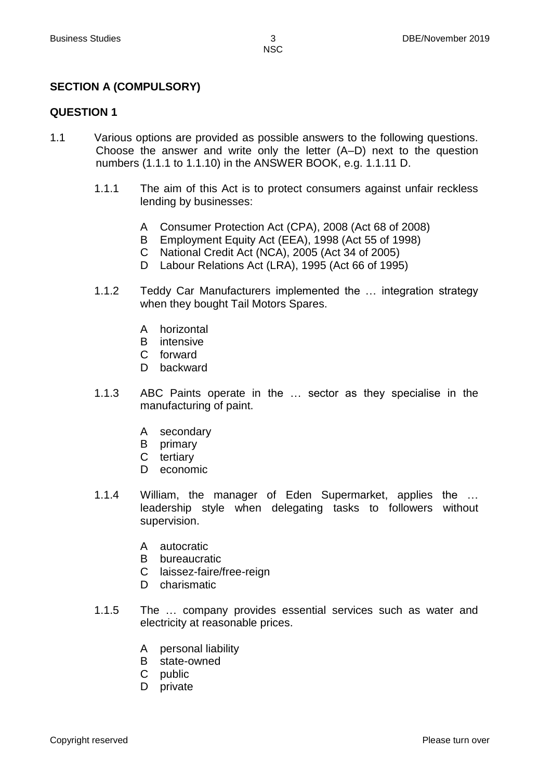# **SECTION A (COMPULSORY)**

#### **QUESTION 1**

- 1.1 Various options are provided as possible answers to the following questions. Choose the answer and write only the letter (A–D) next to the question numbers (1.1.1 to 1.1.10) in the ANSWER BOOK, e.g. 1.1.11 D.
	- 1.1.1 The aim of this Act is to protect consumers against unfair reckless lending by businesses:
		- A Consumer Protection Act (CPA), 2008 (Act 68 of 2008)
		- B Employment Equity Act (EEA), 1998 (Act 55 of 1998)
		- C National Credit Act (NCA), 2005 (Act 34 of 2005)
		- D Labour Relations Act (LRA), 1995 (Act 66 of 1995)
	- 1.1.2 Teddy Car Manufacturers implemented the … integration strategy when they bought Tail Motors Spares.
		- A horizontal
		- B intensive
		- C forward
		- D backward
	- 1.1.3 ABC Paints operate in the … sector as they specialise in the manufacturing of paint.
		- A secondary
		- B primary
		- C tertiary
		- D economic
	- 1.1.4 William, the manager of Eden Supermarket, applies the … leadership style when delegating tasks to followers without supervision.
		- A autocratic
		- B bureaucratic
		- C laissez-faire/free-reign
		- D charismatic
	- 1.1.5 The … company provides essential services such as water and electricity at reasonable prices.
		- A personal liability
		- B state-owned
		- C public
		- D private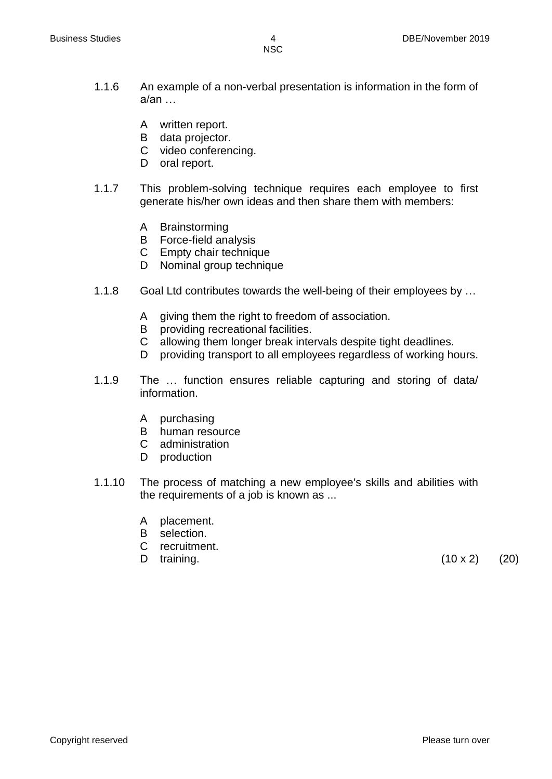- 
- 1.1.6 An example of a non-verbal presentation is information in the form of  $a$ /an  $\dots$ 
	- A written report.
	- B data projector.
	- C video conferencing.
	- D oral report.
- 1.1.7 This problem-solving technique requires each employee to first generate his/her own ideas and then share them with members:
	- A Brainstorming
	- B Force-field analysis
	- C Empty chair technique
	- D Nominal group technique
- 1.1.8 Goal Ltd contributes towards the well-being of their employees by …
	- A giving them the right to freedom of association.
	- B providing recreational facilities.
	- C allowing them longer break intervals despite tight deadlines.
	- D providing transport to all employees regardless of working hours.
- 1.1.9 The … function ensures reliable capturing and storing of data/ information.
	- A purchasing
	- B human resource
	- C administration
	- D production
- 1.1.10 The process of matching a new employee's skills and abilities with the requirements of a job is known as ...
	- A placement.
	- B selection.
	- C recruitment.
	-

D training.  $(10 \times 2)$   $(20)$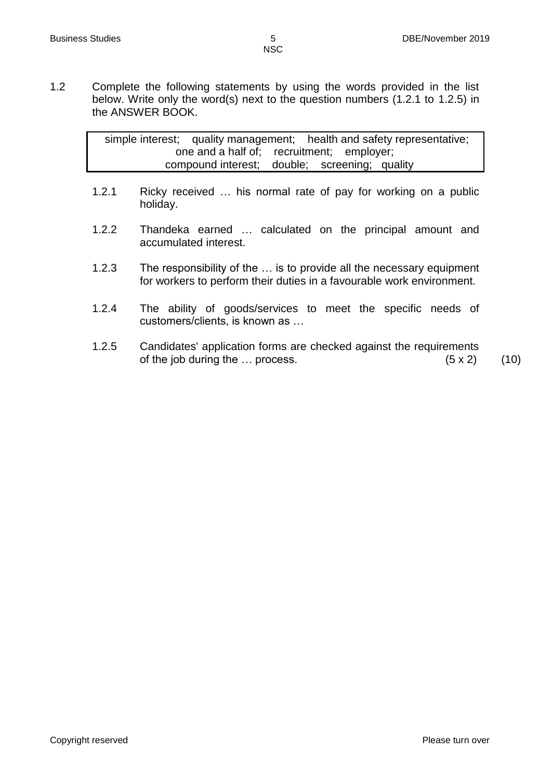1.2 Complete the following statements by using the words provided in the list below. Write only the word(s) next to the question numbers (1.2.1 to 1.2.5) in the ANSWER BOOK.

> simple interest; quality management; health and safety representative; one and a half of; recruitment; employer; compound interest; double; screening; quality

- 1.2.1 Ricky received … his normal rate of pay for working on a public holiday.
- 1.2.2 Thandeka earned … calculated on the principal amount and accumulated interest.
- 1.2.3 The responsibility of the … is to provide all the necessary equipment for workers to perform their duties in a favourable work environment.
- 1.2.4 The ability of goods/services to meet the specific needs of customers/clients, is known as …
- 1.2.5 Candidates' application forms are checked against the requirements of the job during the  $\ldots$  process. (5 x 2) (10)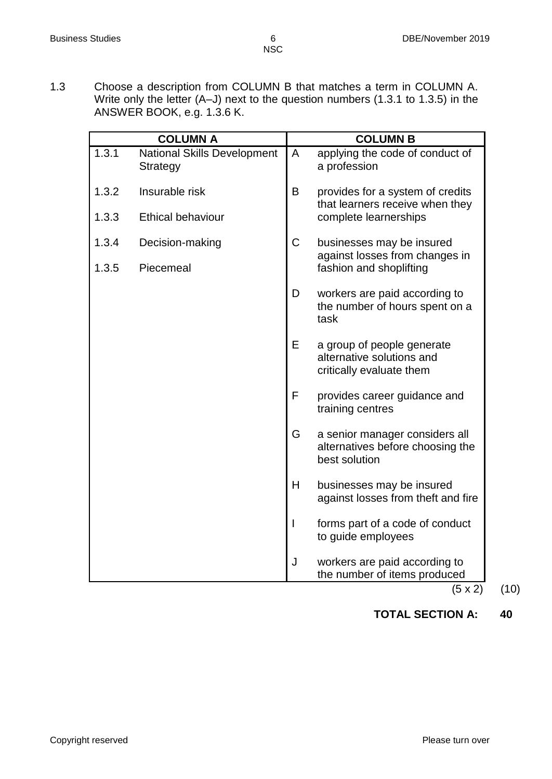1.3 Choose a description from COLUMN B that matches a term in COLUMN A. Write only the letter (A–J) next to the question numbers (1.3.1 to 1.3.5) in the ANSWER BOOK, e.g. 1.3.6 K.

|       | <b>COLUMN A</b>                                |             | <b>COLUMN B</b>                                                                     |
|-------|------------------------------------------------|-------------|-------------------------------------------------------------------------------------|
| 1.3.1 | <b>National Skills Development</b><br>Strategy | A           | applying the code of conduct of<br>a profession                                     |
| 1.3.2 | Insurable risk                                 | B           | provides for a system of credits<br>that learners receive when they                 |
| 1.3.3 | <b>Ethical behaviour</b>                       |             | complete learnerships                                                               |
| 1.3.4 | Decision-making                                | $\mathsf C$ | businesses may be insured<br>against losses from changes in                         |
| 1.3.5 | Piecemeal                                      |             | fashion and shoplifting                                                             |
|       |                                                | D           | workers are paid according to<br>the number of hours spent on a<br>task             |
|       |                                                | Е           | a group of people generate<br>alternative solutions and<br>critically evaluate them |
|       |                                                | F           | provides career guidance and<br>training centres                                    |
|       |                                                | G           | a senior manager considers all<br>alternatives before choosing the<br>best solution |
|       |                                                | H           | businesses may be insured<br>against losses from theft and fire                     |
|       |                                                | I           | forms part of a code of conduct<br>to guide employees                               |
|       |                                                | J           | workers are paid according to<br>the number of items produced<br>$(F \vee f)$       |

 $(5 \times 2)$   $(10)$ 

# **TOTAL SECTION A: 40**

Copyright reserved **Please** turn over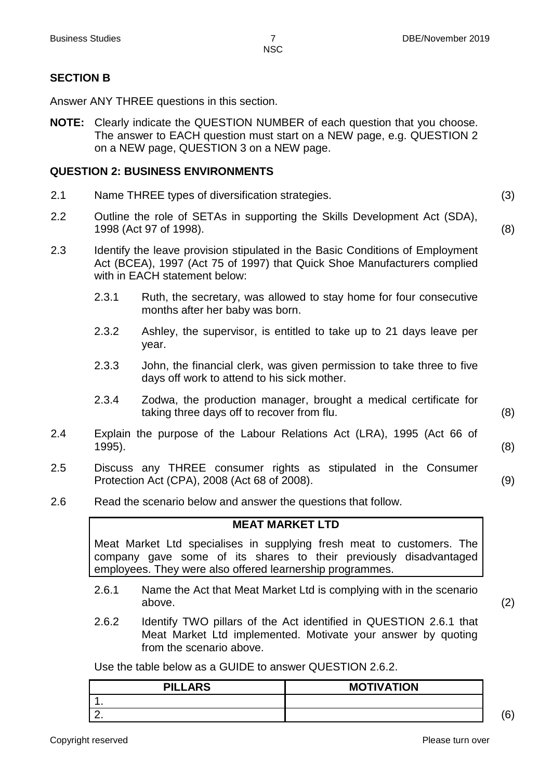# **SECTION B**

Answer ANY THREE questions in this section.

**NOTE:** Clearly indicate the QUESTION NUMBER of each question that you choose. The answer to EACH question must start on a NEW page, e.g. QUESTION 2 on a NEW page, QUESTION 3 on a NEW page.

# **QUESTION 2: BUSINESS ENVIRONMENTS**

- 2.1 Name THREE types of diversification strategies. (3)
- 2.2 Outline the role of SETAs in supporting the Skills Development Act (SDA), 1998 (Act 97 of 1998). (8)
- 2.3 Identify the leave provision stipulated in the Basic Conditions of Employment Act (BCEA), 1997 (Act 75 of 1997) that Quick Shoe Manufacturers complied with in EACH statement below:
	- 2.3.1 Ruth, the secretary, was allowed to stay home for four consecutive months after her baby was born.
	- 2.3.2 Ashley, the supervisor, is entitled to take up to 21 days leave per year.
	- 2.3.3 John, the financial clerk, was given permission to take three to five days off work to attend to his sick mother.
	- 2.3.4 Zodwa, the production manager, brought a medical certificate for taking three days off to recover from flu. (8)
- 2.4 Explain the purpose of the Labour Relations Act (LRA), 1995 (Act 66 of 1995). (8)
- 2.5 Discuss any THREE consumer rights as stipulated in the Consumer Protection Act (CPA), 2008 (Act 68 of 2008). (9)
- 2.6 Read the scenario below and answer the questions that follow.

# **MEAT MARKET LTD**

Meat Market Ltd specialises in supplying fresh meat to customers. The company gave some of its shares to their previously disadvantaged employees. They were also offered learnership programmes.

- 2.6.1 Name the Act that Meat Market Ltd is complying with in the scenario above. (2)
- 2.6.2 Identify TWO pillars of the Act identified in QUESTION 2.6.1 that Meat Market Ltd implemented. Motivate your answer by quoting from the scenario above.

Use the table below as a GUIDE to answer QUESTION 2.6.2.

| <b>PILLARS</b> | <b>MOTIVATION</b> |                    |
|----------------|-------------------|--------------------|
|                |                   |                    |
|                |                   | $\mathcal{L}$<br>v |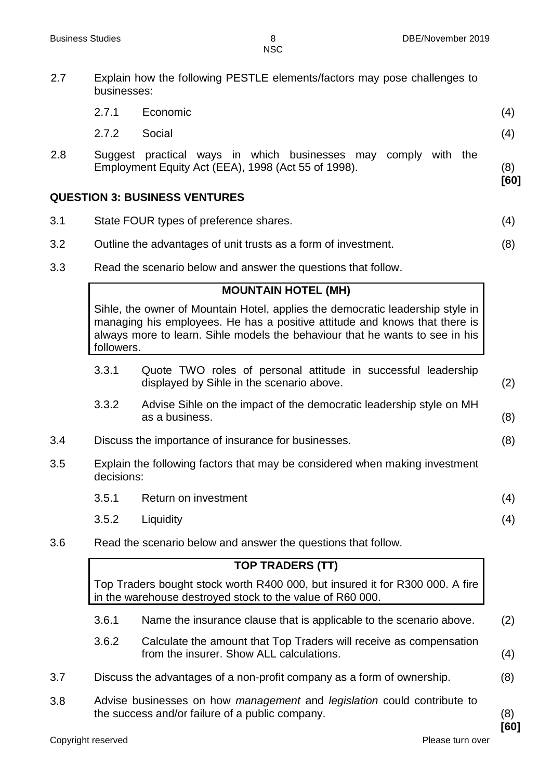2.7 Explain how the following PESTLE elements/factors may pose challenges to

- businesses: 2.7.1 Economic (4) 2.7.2 Social (4) 2.8 Suggest practical ways in which businesses may comply with the Employment Equity Act (EEA), 1998 (Act 55 of 1998). (8) **[60] QUESTION 3: BUSINESS VENTURES**
- 3.1 State FOUR types of preference shares. (4)
- 3.2 Outline the advantages of unit trusts as a form of investment. (8)
- 3.3 Read the scenario below and answer the questions that follow.

#### **MOUNTAIN HOTEL (MH)**

Sihle, the owner of Mountain Hotel, applies the democratic leadership style in managing his employees. He has a positive attitude and knows that there is always more to learn. Sihle models the behaviour that he wants to see in his followers.

- 3.3.1 Quote TWO roles of personal attitude in successful leadership displayed by Sihle in the scenario above. (2)
- 3.3.2 Advise Sihle on the impact of the democratic leadership style on MH as a business. (8)
- 3.4 Discuss the importance of insurance for businesses. (8)
- 3.5 Explain the following factors that may be considered when making investment decisions:
	- 3.5.1 Return on investment (4)
	- 3.5.2 Liquidity (4)
- 3.6 Read the scenario below and answer the questions that follow.

#### **TOP TRADERS (TT)**

Top Traders bought stock worth R400 000, but insured it for R300 000. A fire in the warehouse destroyed stock to the value of R60 000.

- 3.6.1 Name the insurance clause that is applicable to the scenario above. (2)
- 3.6.2 Calculate the amount that Top Traders will receive as compensation from the insurer. Show ALL calculations. (4)
- 3.7 Discuss the advantages of a non-profit company as a form of ownership. (8)
- 3.8 Advise businesses on how *management* and *legislation* could contribute to the success and/or failure of a public company. (8)

**[60]**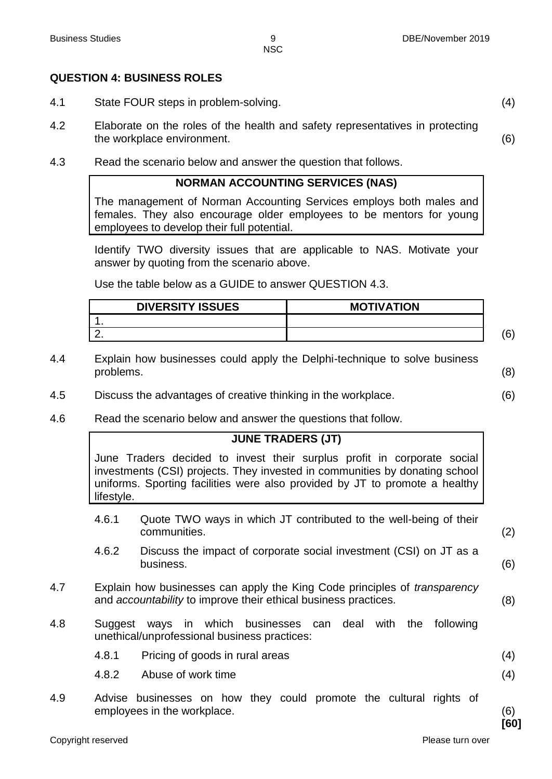#### **QUESTION 4: BUSINESS ROLES**

- 4.1 State FOUR steps in problem-solving. (4)
- 4.2 Elaborate on the roles of the health and safety representatives in protecting the workplace environment. (6)
- 4.3 Read the scenario below and answer the question that follows.

#### **NORMAN ACCOUNTING SERVICES (NAS)**

The management of Norman Accounting Services employs both males and females. They also encourage older employees to be mentors for young employees to develop their full potential.

Identify TWO diversity issues that are applicable to NAS. Motivate your answer by quoting from the scenario above.

Use the table below as a GUIDE to answer QUESTION 4.3.

| <b>DIVERSITY ISSUES</b> | <b>MOTIVATION</b> |  |
|-------------------------|-------------------|--|
|                         |                   |  |
|                         |                   |  |

- 4.4 Explain how businesses could apply the Delphi-technique to solve business problems. (8)
- 4.5 Discuss the advantages of creative thinking in the workplace. (6)
- 4.6 Read the scenario below and answer the questions that follow.

#### **JUNE TRADERS (JT)**

June Traders decided to invest their surplus profit in corporate social investments (CSI) projects. They invested in communities by donating school uniforms. Sporting facilities were also provided by JT to promote a healthy lifestyle.

- 4.6.1 Quote TWO ways in which JT contributed to the well-being of their communities. (2)
- 4.6.2 Discuss the impact of corporate social investment (CSI) on JT as a business. (6)
- 4.7 Explain how businesses can apply the King Code principles of *transparency* and *accountability* to improve their ethical business practices. (8)
- 4.8 Suggest ways in which businesses can deal with the following unethical/unprofessional business practices:
	- 4.8.1 Pricing of goods in rural areas (4)
	- 4.8.2 Abuse of work time (4)
- 4.9 Advise businesses on how they could promote the cultural rights of employees in the workplace. (6)

Copyright reserved **Please turn over the Copyright reserved** Please turn over

**[60]**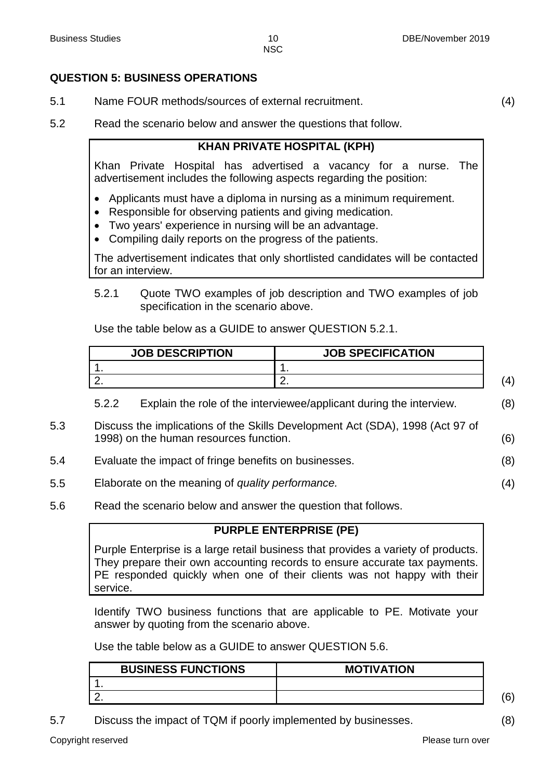# **QUESTION 5: BUSINESS OPERATIONS**

- 5.1 Name FOUR methods/sources of external recruitment. (4)
- 5.2 Read the scenario below and answer the questions that follow.

## **KHAN PRIVATE HOSPITAL (KPH)**

Khan Private Hospital has advertised a vacancy for a nurse. The advertisement includes the following aspects regarding the position:

- Applicants must have a diploma in nursing as a minimum requirement.
- Responsible for observing patients and giving medication.
- Two years' experience in nursing will be an advantage.
- Compiling daily reports on the progress of the patients.

The advertisement indicates that only shortlisted candidates will be contacted for an interview.

5.2.1 Quote TWO examples of job description and TWO examples of job specification in the scenario above.

Use the table below as a GUIDE to answer QUESTION 5.2.1.

| <b>JOB DESCRIPTION</b> | <b>JOB SPECIFICATION</b> |  |
|------------------------|--------------------------|--|
|                        |                          |  |
|                        | - -                      |  |

5.2.2 Explain the role of the interviewee/applicant during the interview. (8)

- 5.3 Discuss the implications of the Skills Development Act (SDA), 1998 (Act 97 of 1998) on the human resources function. (6)
- 5.4 Evaluate the impact of fringe benefits on businesses. (8)
- 5.5 Elaborate on the meaning of *quality performance.* (4)
- 5.6 Read the scenario below and answer the question that follows.

#### **PURPLE ENTERPRISE (PE)**

Purple Enterprise is a large retail business that provides a variety of products. They prepare their own accounting records to ensure accurate tax payments. PE responded quickly when one of their clients was not happy with their service.

Identify TWO business functions that are applicable to PE. Motivate your answer by quoting from the scenario above.

Use the table below as a GUIDE to answer QUESTION 5.6.

| <b>BUSINESS FUNCTIONS</b> | <b>MOTIVATION</b> |     |
|---------------------------|-------------------|-----|
|                           |                   |     |
|                           |                   | ۵١) |

5.7 Discuss the impact of TQM if poorly implemented by businesses. (8)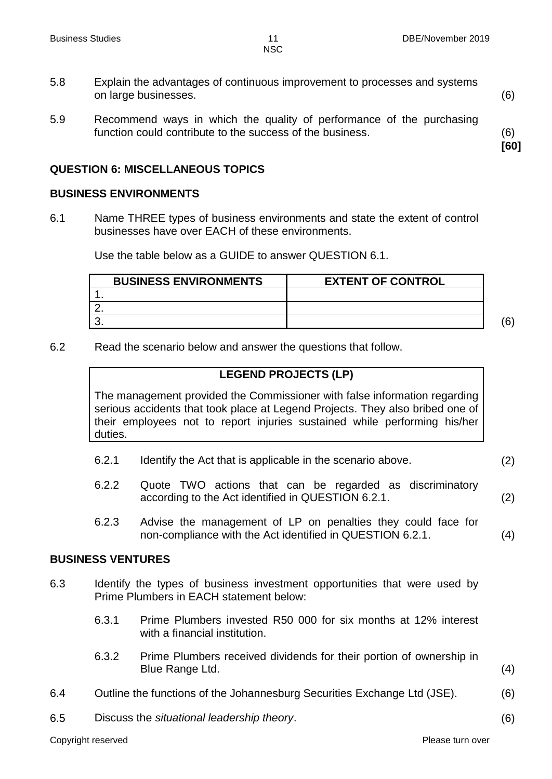**[60]**

**NSC** 

- 5.8 Explain the advantages of continuous improvement to processes and systems on large businesses. (6)
- 5.9 Recommend ways in which the quality of performance of the purchasing function could contribute to the success of the business. (6)

# **QUESTION 6: MISCELLANEOUS TOPICS**

#### **BUSINESS ENVIRONMENTS**

6.1 Name THREE types of business environments and state the extent of control businesses have over EACH of these environments.

Use the table below as a GUIDE to answer QUESTION 6.1.

| <b>BUSINESS ENVIRONMENTS</b> | <b>EXTENT OF CONTROL</b> |          |
|------------------------------|--------------------------|----------|
|                              |                          |          |
|                              |                          |          |
|                              |                          | 'ድነ<br>ν |

6.2 Read the scenario below and answer the questions that follow.

#### **LEGEND PROJECTS (LP)**

The management provided the Commissioner with false information regarding serious accidents that took place at Legend Projects. They also bribed one of their employees not to report injuries sustained while performing his/her duties.

- 6.2.1 Identify the Act that is applicable in the scenario above. (2)
- 6.2.2 Quote TWO actions that can be regarded as discriminatory according to the Act identified in QUESTION 6.2.1. (2)
- 6.2.3 Advise the management of LP on penalties they could face for non-compliance with the Act identified in QUESTION 6.2.1. (4)

#### **BUSINESS VENTURES**

- 6.3 Identify the types of business investment opportunities that were used by Prime Plumbers in EACH statement below:
	- 6.3.1 Prime Plumbers invested R50 000 for six months at 12% interest with a financial institution.
	- 6.3.2 Prime Plumbers received dividends for their portion of ownership in Blue Range Ltd. (4)
- 6.4 Outline the functions of the Johannesburg Securities Exchange Ltd (JSE). (6)
	-
- 6.5 Discuss the *situational leadership theory*. (6)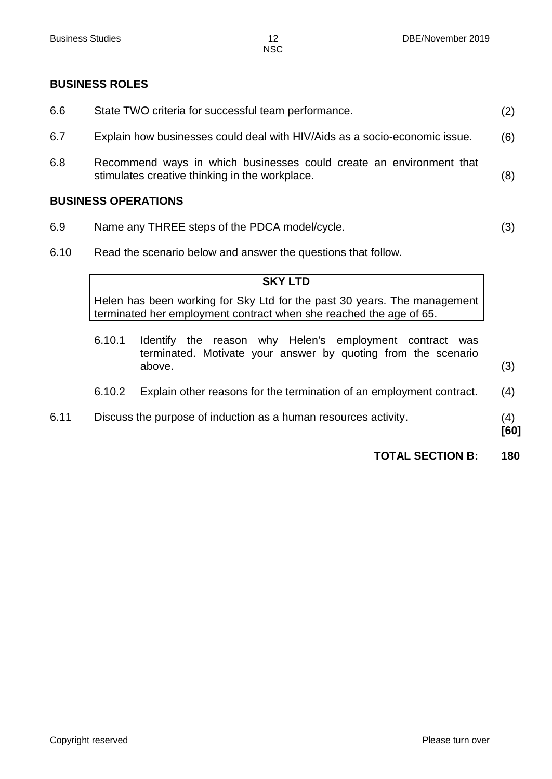#### **BUSINESS ROLES**

| 6.6 | State TWO criteria for successful team performance.                                                                   | (2) |
|-----|-----------------------------------------------------------------------------------------------------------------------|-----|
| 6.7 | Explain how businesses could deal with HIV/Aids as a socio-economic issue.                                            | (6) |
| 6.8 | Recommend ways in which businesses could create an environment that<br>stimulates creative thinking in the workplace. | (8) |
|     | <b>BUSINESS OPERATIONS</b>                                                                                            |     |
| 6.9 | Name any THREE steps of the PDCA model/cycle.                                                                         | (3) |

6.10 Read the scenario below and answer the questions that follow.

#### **SKY LTD**

Helen has been working for Sky Ltd for the past 30 years. The management terminated her employment contract when she reached the age of 65.

6.10.1 Identify the reason why Helen's employment contract was terminated. Motivate your answer by quoting from the scenario above. (3) 6.10.2 Explain other reasons for the termination of an employment contract. (4) 6.11 Discuss the purpose of induction as a human resources activity. (4) **[60]**

**TOTAL SECTION B: 180**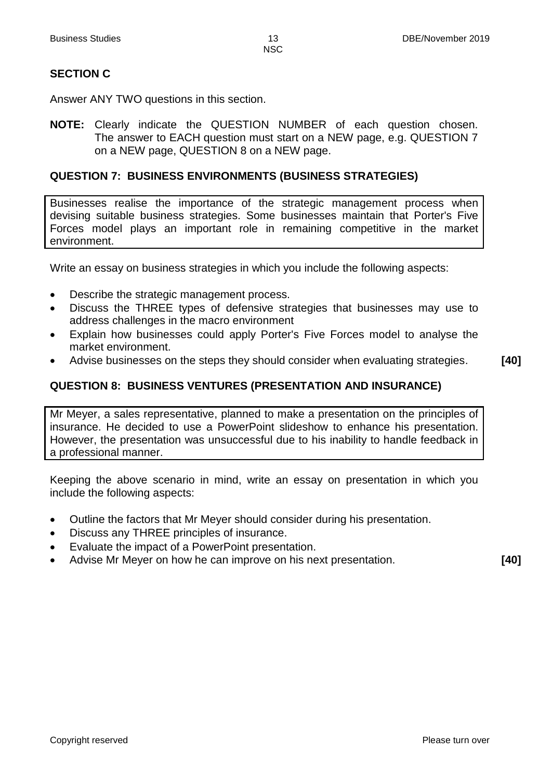# **SECTION C**

Answer ANY TWO questions in this section.

**NOTE:** Clearly indicate the QUESTION NUMBER of each question chosen. The answer to EACH question must start on a NEW page, e.g. QUESTION 7 on a NEW page, QUESTION 8 on a NEW page.

# **QUESTION 7: BUSINESS ENVIRONMENTS (BUSINESS STRATEGIES)**

Businesses realise the importance of the strategic management process when devising suitable business strategies. Some businesses maintain that Porter's Five Forces model plays an important role in remaining competitive in the market environment.

Write an essay on business strategies in which you include the following aspects:

- Describe the strategic management process.
- Discuss the THREE types of defensive strategies that businesses may use to address challenges in the macro environment
- Explain how businesses could apply Porter's Five Forces model to analyse the market environment.
- Advise businesses on the steps they should consider when evaluating strategies. **[40]**

# **QUESTION 8: BUSINESS VENTURES (PRESENTATION AND INSURANCE)**

Mr Meyer, a sales representative, planned to make a presentation on the principles of insurance. He decided to use a PowerPoint slideshow to enhance his presentation. However, the presentation was unsuccessful due to his inability to handle feedback in a professional manner.

Keeping the above scenario in mind, write an essay on presentation in which you include the following aspects:

- Outline the factors that Mr Meyer should consider during his presentation.
- Discuss any THREE principles of insurance.
- Evaluate the impact of a PowerPoint presentation.
- Advise Mr Meyer on how he can improve on his next presentation. **[40]**